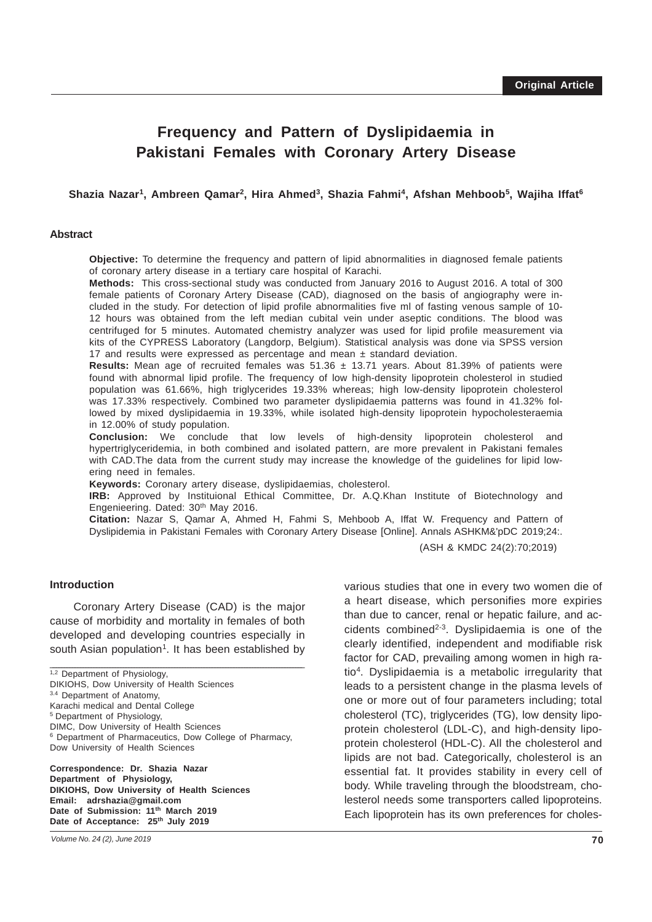# **Frequency and Pattern of Dyslipidaemia in Pakistani Females with Coronary Artery Disease**

#### Shazia Nazar<sup>1</sup>, Ambreen Qamar<sup>2</sup>, Hira Ahmed<sup>3</sup>, Shazia Fahmi<sup>4</sup>, Afshan Mehboob<sup>5</sup>, Wajiha Iffat<sup>6</sup>

#### **Abstract**

**Objective:** To determine the frequency and pattern of lipid abnormalities in diagnosed female patients of coronary artery disease in a tertiary care hospital of Karachi.

**Methods:** This cross-sectional study was conducted from January 2016 to August 2016. A total of 300 female patients of Coronary Artery Disease (CAD), diagnosed on the basis of angiography were included in the study. For detection of lipid profile abnormalities five ml of fasting venous sample of 10- 12 hours was obtained from the left median cubital vein under aseptic conditions. The blood was centrifuged for 5 minutes. Automated chemistry analyzer was used for lipid profile measurement via kits of the CYPRESS Laboratory (Langdorp, Belgium). Statistical analysis was done via SPSS version 17 and results were expressed as percentage and mean ± standard deviation.

**Results:** Mean age of recruited females was  $51.36 \pm 13.71$  years. About 81.39% of patients were found with abnormal lipid profile. The frequency of low high-density lipoprotein cholesterol in studied population was 61.66%, high triglycerides 19.33% whereas; high low-density lipoprotein cholesterol was 17.33% respectively. Combined two parameter dyslipidaemia patterns was found in 41.32% followed by mixed dyslipidaemia in 19.33%, while isolated high-density lipoprotein hypocholesteraemia in 12.00% of study population.

**Conclusion:** We conclude that low levels of high-density lipoprotein cholesterol and hypertriglyceridemia, in both combined and isolated pattern, are more prevalent in Pakistani females with CAD.The data from the current study may increase the knowledge of the guidelines for lipid lowering need in females.

**Keywords:** Coronary artery disease, dyslipidaemias, cholesterol.

**IRB:** Approved by Instituional Ethical Committee, Dr. A.Q.Khan Institute of Biotechnology and Engenieering. Dated: 30<sup>th</sup> May 2016.

**Citation:** Nazar S, Qamar A, Ahmed H, Fahmi S, Mehboob A, Iffat W. Frequency and Pattern of Dyslipidemia in Pakistani Females with Coronary Artery Disease [Online]. Annals ASHKM&'pDC 2019;24:.

(ASH & KMDC 24(2):70;2019)

#### **Introduction**

Coronary Artery Disease (CAD) is the major cause of morbidity and mortality in females of both developed and developing countries especially in south Asian population<sup>1</sup>. It has been established by

\_\_\_\_\_\_\_\_\_\_\_\_\_\_\_\_\_\_\_\_\_\_\_\_\_\_\_\_\_\_\_\_\_\_\_\_\_\_\_\_\_\_\_\_\_\_\_\_\_\_\_\_\_\_\_\_\_\_\_\_\_\_\_\_\_\_\_\_\_\_\_\_\_\_\_\_\_\_\_\_\_\_\_\_\_\_\_\_\_\_\_\_\_\_

 $1,2$  Department of Physiology,

DIKIOHS, Dow University of Health Sciences

3.4 Department of Anatomy,

Karachi medical and Dental College 5 Department of Physiology,

DIMC, Dow University of Health Sciences

6 Department of Pharmaceutics, Dow College of Pharmacy, Dow University of Health Sciences

**Correspondence: Dr. Shazia Nazar Department of Physiology, DIKIOHS, Dow University of Health Sciences Email: adrshazia@gmail.com Date of Submission: 11th March 2019** Date of Acceptance: 25<sup>th</sup> July 2019

various studies that one in every two women die of a heart disease, which personifies more expiries than due to cancer, renal or hepatic failure, and accidents combined $2-3$ . Dyslipidaemia is one of the clearly identified, independent and modifiable risk factor for CAD, prevailing among women in high ratio4. Dyslipidaemia is a metabolic irregularity that leads to a persistent change in the plasma levels of one or more out of four parameters including; total cholesterol (TC), triglycerides (TG), low density lipoprotein cholesterol (LDL-C), and high-density lipoprotein cholesterol (HDL-C). All the cholesterol and lipids are not bad. Categorically, cholesterol is an essential fat. It provides stability in every cell of body. While traveling through the bloodstream, cholesterol needs some transporters called lipoproteins. Each lipoprotein has its own preferences for choles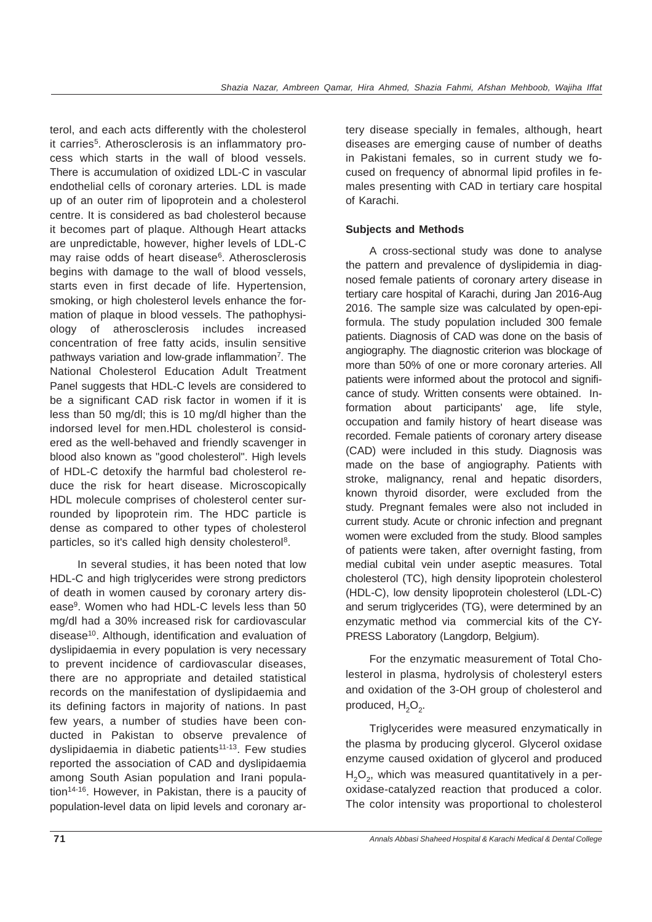terol, and each acts differently with the cholesterol it carries<sup>5</sup>. Atherosclerosis is an inflammatory process which starts in the wall of blood vessels. There is accumulation of oxidized LDL-C in vascular endothelial cells of coronary arteries. LDL is made up of an outer rim of lipoprotein and a cholesterol centre. It is considered as bad cholesterol because it becomes part of plaque. Although Heart attacks are unpredictable, however, higher levels of LDL-C may raise odds of heart disease<sup>6</sup>. Atherosclerosis begins with damage to the wall of blood vessels, starts even in first decade of life. Hypertension, smoking, or high cholesterol levels enhance the formation of plaque in blood vessels. The pathophysiology of atherosclerosis includes increased concentration of free fatty acids, insulin sensitive pathways variation and low-grade inflammation<sup>7</sup>. The National Cholesterol Education Adult Treatment Panel suggests that HDL-C levels are considered to be a significant CAD risk factor in women if it is less than 50 mg/dl; this is 10 mg/dl higher than the indorsed level for men.HDL cholesterol is considered as the well-behaved and friendly scavenger in blood also known as "good cholesterol". High levels of HDL-C detoxify the harmful bad cholesterol reduce the risk for heart disease. Microscopically HDL molecule comprises of cholesterol center surrounded by lipoprotein rim. The HDC particle is dense as compared to other types of cholesterol particles, so it's called high density cholesterol<sup>8</sup>.

 In several studies, it has been noted that low HDL-C and high triglycerides were strong predictors of death in women caused by coronary artery disease9. Women who had HDL-C levels less than 50 mg/dl had a 30% increased risk for cardiovascular disease<sup>10</sup>. Although, identification and evaluation of dyslipidaemia in every population is very necessary to prevent incidence of cardiovascular diseases, there are no appropriate and detailed statistical records on the manifestation of dyslipidaemia and its defining factors in majority of nations. In past few years, a number of studies have been conducted in Pakistan to observe prevalence of dyslipidaemia in diabetic patients<sup>11-13</sup>. Few studies reported the association of CAD and dyslipidaemia among South Asian population and Irani population<sup>14-16</sup>. However, in Pakistan, there is a paucity of population-level data on lipid levels and coronary artery disease specially in females, although, heart diseases are emerging cause of number of deaths in Pakistani females, so in current study we focused on frequency of abnormal lipid profiles in females presenting with CAD in tertiary care hospital of Karachi.

## **Subjects and Methods**

A cross-sectional study was done to analyse the pattern and prevalence of dyslipidemia in diagnosed female patients of coronary artery disease in tertiary care hospital of Karachi, during Jan 2016-Aug 2016. The sample size was calculated by open-epiformula. The study population included 300 female patients. Diagnosis of CAD was done on the basis of angiography. The diagnostic criterion was blockage of more than 50% of one or more coronary arteries. All patients were informed about the protocol and significance of study. Written consents were obtained. Information about participants' age, life style, occupation and family history of heart disease was recorded. Female patients of coronary artery disease (CAD) were included in this study. Diagnosis was made on the base of angiography. Patients with stroke, malignancy, renal and hepatic disorders, known thyroid disorder, were excluded from the study. Pregnant females were also not included in current study. Acute or chronic infection and pregnant women were excluded from the study. Blood samples of patients were taken, after overnight fasting, from medial cubital vein under aseptic measures. Total cholesterol (TC), high density lipoprotein cholesterol (HDL-C), low density lipoprotein cholesterol (LDL-C) and serum triglycerides (TG), were determined by an enzymatic method via commercial kits of the CY-PRESS Laboratory (Langdorp, Belgium).

For the enzymatic measurement of Total Cholesterol in plasma, hydrolysis of cholesteryl esters and oxidation of the 3-OH group of cholesterol and produced,  $H_2O_2$ .

Triglycerides were measured enzymatically in the plasma by producing glycerol. Glycerol oxidase enzyme caused oxidation of glycerol and produced  $H<sub>2</sub>O<sub>2</sub>$ , which was measured quantitatively in a peroxidase-catalyzed reaction that produced a color. The color intensity was proportional to cholesterol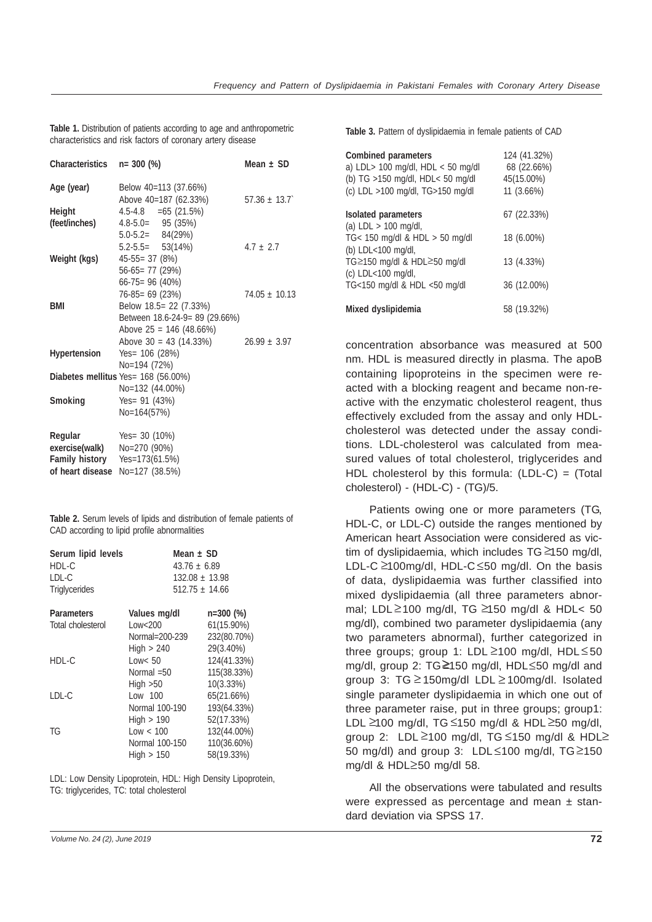**Table 1.** Distribution of patients according to age and anthropometric characteristics and risk factors of coronary artery disease

| Characteristics<br>$n = 300$ (%)               | Mean $\pm$ SD                                                                                                                                                                                                                                         |
|------------------------------------------------|-------------------------------------------------------------------------------------------------------------------------------------------------------------------------------------------------------------------------------------------------------|
| Below 40=113 (37.66%)<br>Above 40=187 (62.33%) | $57.36 \pm 13.7$                                                                                                                                                                                                                                      |
| $4.5 - 4.8 = 65(21.5\%)$                       |                                                                                                                                                                                                                                                       |
| $4.8 - 5.0 = 95(35\%)$                         |                                                                                                                                                                                                                                                       |
| $5.0 - 5.2 = 84(29%)$                          |                                                                                                                                                                                                                                                       |
| $5.2 - 5.5 = 53(14%)$                          | $4.7 + 2.7$                                                                                                                                                                                                                                           |
| $45-55=37(8%)$                                 |                                                                                                                                                                                                                                                       |
| $56-65=77(29%)$                                |                                                                                                                                                                                                                                                       |
| $66 - 75 = 96(40\%)$                           |                                                                                                                                                                                                                                                       |
| $76-85=69(23%)$                                | $74.05 \pm 10.13$                                                                                                                                                                                                                                     |
|                                                |                                                                                                                                                                                                                                                       |
|                                                |                                                                                                                                                                                                                                                       |
|                                                |                                                                                                                                                                                                                                                       |
|                                                | $26.99 + 3.97$                                                                                                                                                                                                                                        |
|                                                |                                                                                                                                                                                                                                                       |
|                                                |                                                                                                                                                                                                                                                       |
|                                                |                                                                                                                                                                                                                                                       |
|                                                |                                                                                                                                                                                                                                                       |
|                                                |                                                                                                                                                                                                                                                       |
|                                                |                                                                                                                                                                                                                                                       |
| Yes= $30(10\%)$                                |                                                                                                                                                                                                                                                       |
| exercise(walk) $No=270$ (90%)                  |                                                                                                                                                                                                                                                       |
| <b>Family history</b><br>$Yes=173(61.5%)$      |                                                                                                                                                                                                                                                       |
| of heart disease<br>No=127 (38.5%)             |                                                                                                                                                                                                                                                       |
|                                                | Below 18.5 = 22 (7.33%)<br>Between 18.6-24-9= 89 (29.66%)<br>Above $25 = 146 (48.66%)$<br>Above $30 = 43 (14.33%)$<br>Yes= $106(28%)$<br>No=194 (72%)<br>Diabetes mellitus Yes= 168 (56.00%)<br>No=132 (44.00%)<br>Yes= $91$ (43%)<br>$No = 164(57%)$ |

**Table 2.** Serum levels of lipids and distribution of female patients of CAD according to lipid profile abnormalities

| Serum lipid levels | Mean $\pm$ SD    |                  |
|--------------------|------------------|------------------|
| HDL-C              | $43.76 \pm 6.89$ |                  |
| LDL-C              |                  | $132.08 + 13.98$ |
| Triglycerides      |                  | $512.75 + 14.66$ |
| Parameters         | Values mg/dl     | $n=300(%)$       |
| Total cholesterol  | Low < 200        | 61(15.90%)       |
|                    | Normal=200-239   | 232(80.70%)      |
|                    | High $> 240$     | 29(3.40%)        |
| HDL-C              | Low < 50         | 124(41.33%)      |
|                    | Normal $=50$     | 115(38.33%)      |
|                    | High $>50$       | 10(3.33%)        |
| LDL-C              | $Low$ 100        | 65(21.66%)       |
|                    | Normal 100-190   | 193(64.33%)      |
|                    |                  |                  |

 $High > 190$   $52(17.33%)$ TG Low < 100 132(44.00%) Normal 100-150 110(36.60%)  $High > 150$   $58(19.33%)$ 

LDL: Low Density Lipoprotein, HDL: High Density Lipoprotein, TG: triglycerides, TC: total cholesterol

**Table 3.** Pattern of dyslipidaemia in female patients of CAD

| Combined parameters<br>a) LDL > 100 mg/dl, HDL < 50 mg/dl<br>(b) TG >150 mg/dl, HDL< 50 mg/dl<br>(c) LDL >100 mg/dl, TG>150 mg/dl | 124 (41.32%)<br>68 (22.66%)<br>45(15.00%)<br>11(3.66%) |
|-----------------------------------------------------------------------------------------------------------------------------------|--------------------------------------------------------|
| Isolated parameters<br>(a) $LDL > 100$ mg/dl,                                                                                     | 67 (22.33%)                                            |
| TG< 150 mg/dl & HDL > 50 mg/dl                                                                                                    | 18 (6.00%)                                             |
| (b) LDL<100 mg/dl,<br>TG≥150 mg/dl & HDL≥50 mg/dl                                                                                 | 13 (4.33%)                                             |
| (c) LDL<100 mg/dl,<br>TG<150 mg/dl & HDL <50 mg/dl                                                                                | 36 (12.00%)                                            |
| Mixed dyslipidemia                                                                                                                | 58 (19.32%)                                            |

concentration absorbance was measured at 500 nm. HDL is measured directly in plasma. The apoB containing lipoproteins in the specimen were reacted with a blocking reagent and became non-reactive with the enzymatic cholesterol reagent, thus effectively excluded from the assay and only HDLcholesterol was detected under the assay conditions. LDL-cholesterol was calculated from measured values of total cholesterol, triglycerides and HDL cholesterol by this formula: (LDL-C) = (Total cholesterol) - (HDL-C) - (TG)/5.

Patients owing one or more parameters (TG, HDL-C, or LDL-C) outside the ranges mentioned by American heart Association were considered as victim of dyslipidaemia, which includes TG ≥150 mg/dl, LDL-C  $\geq$ 100mg/dl, HDL-C  $\leq$ 50 mg/dl. On the basis of data, dyslipidaemia was further classified into mixed dyslipidaemia (all three parameters abnormal; LDL $\ge$ 100 mg/dl, TG  $\ge$ 150 mg/dl & HDL< 50 mg/dl), combined two parameter dyslipidaemia (any two parameters abnormal), further categorized in three groups; group 1: LDL ≥100 mg/dl, HDL ≤50 mg/dl, group 2: TG≥150 mg/dl, HDL≤50 mg/dl and group 3: TG ≥150mg/dl LDL ≥100mg/dl. Isolated single parameter dyslipidaemia in which one out of three parameter raise, put in three groups; group1: LDL ≥100 mg/dl, TG ≤150 mg/dl & HDL ≥50 mg/dl, group 2: LDL  $\geq$ 100 mg/dl, TG  $\leq$ 150 mg/dl & HDL $\geq$ 50 mg/dl) and group 3: LDL $\leq$ 100 mg/dl, TG $\geq$ 150 mg/dl & HDL≥50 mg/dl 58.

All the observations were tabulated and results were expressed as percentage and mean  $\pm$  standard deviation via SPSS 17.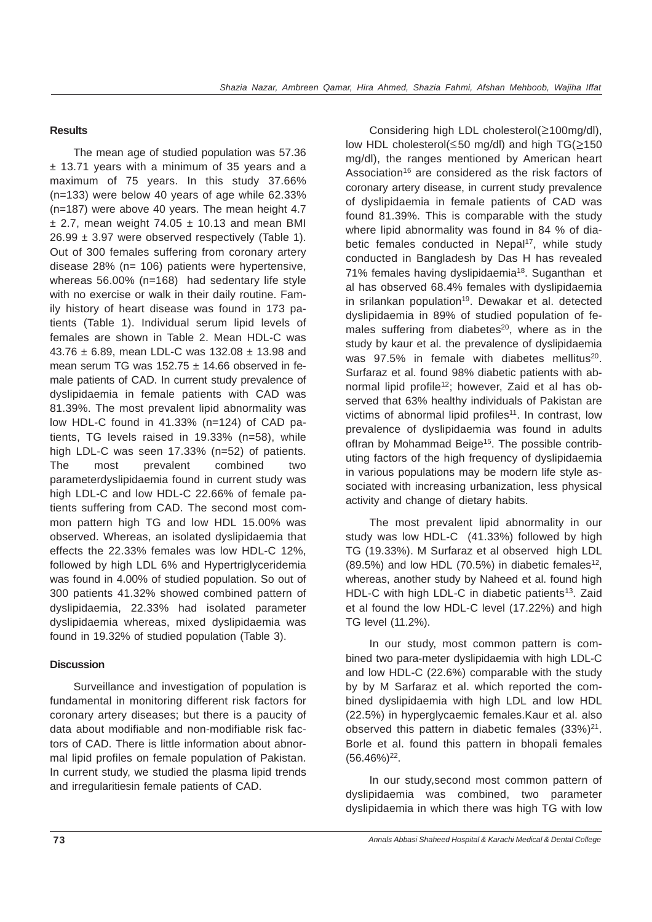## **Results**

The mean age of studied population was 57.36 ± 13.71 years with a minimum of 35 years and a maximum of 75 years. In this study 37.66% (n=133) were below 40 years of age while 62.33% (n=187) were above 40 years. The mean height 4.7  $\pm$  2.7, mean weight 74.05  $\pm$  10.13 and mean BMI  $26.99 \pm 3.97$  were observed respectively (Table 1). Out of 300 females suffering from coronary artery disease 28% (n= 106) patients were hypertensive, whereas 56.00% (n=168) had sedentary life style with no exercise or walk in their daily routine. Family history of heart disease was found in 173 patients (Table 1). Individual serum lipid levels of females are shown in Table 2. Mean HDL-C was  $43.76 \pm 6.89$ , mean LDL-C was 132.08  $\pm$  13.98 and mean serum TG was  $152.75 \pm 14.66$  observed in female patients of CAD. In current study prevalence of dyslipidaemia in female patients with CAD was 81.39%. The most prevalent lipid abnormality was low HDL-C found in 41.33% (n=124) of CAD patients, TG levels raised in 19.33% (n=58), while high LDL-C was seen 17.33% (n=52) of patients. The most prevalent combined two parameterdyslipidaemia found in current study was high LDL-C and low HDL-C 22.66% of female patients suffering from CAD. The second most common pattern high TG and low HDL 15.00% was observed. Whereas, an isolated dyslipidaemia that effects the 22.33% females was low HDL-C 12%, followed by high LDL 6% and Hypertriglyceridemia was found in 4.00% of studied population. So out of 300 patients 41.32% showed combined pattern of dyslipidaemia, 22.33% had isolated parameter dyslipidaemia whereas, mixed dyslipidaemia was found in 19.32% of studied population (Table 3).

## **Discussion**

Surveillance and investigation of population is fundamental in monitoring different risk factors for coronary artery diseases; but there is a paucity of data about modifiable and non-modifiable risk factors of CAD. There is little information about abnormal lipid profiles on female population of Pakistan. In current study, we studied the plasma lipid trends and irregularitiesin female patients of CAD.

Considering high LDL cholesterol(≥100mg/dl), low HDL cholesterol(≤50 mg/dl) and high TG(≥150 mg/dl), the ranges mentioned by American heart Association<sup>16</sup> are considered as the risk factors of coronary artery disease, in current study prevalence of dyslipidaemia in female patients of CAD was found 81.39%. This is comparable with the study where lipid abnormality was found in 84 % of diabetic females conducted in Nepal<sup>17</sup>, while study conducted in Bangladesh by Das H has revealed 71% females having dyslipidaemia<sup>18</sup>. Suganthan et al has observed 68.4% females with dyslipidaemia in srilankan population<sup>19</sup>. Dewakar et al. detected dyslipidaemia in 89% of studied population of females suffering from diabetes $20$ , where as in the study by kaur et al. the prevalence of dyslipidaemia was  $97.5\%$  in female with diabetes mellitus<sup>20</sup>. Surfaraz et al. found 98% diabetic patients with abnormal lipid profile<sup>12</sup>; however, Zaid et al has observed that 63% healthy individuals of Pakistan are victims of abnormal lipid profiles<sup>11</sup>. In contrast, low prevalence of dyslipidaemia was found in adults ofIran by Mohammad Beige<sup>15</sup>. The possible contributing factors of the high frequency of dyslipidaemia in various populations may be modern life style associated with increasing urbanization, less physical activity and change of dietary habits.

The most prevalent lipid abnormality in our study was low HDL-C (41.33%) followed by high TG (19.33%). M Surfaraz et al observed high LDL  $(89.5\%)$  and low HDL  $(70.5\%)$  in diabetic females<sup>12</sup>, whereas, another study by Naheed et al. found high HDL-C with high LDL-C in diabetic patients<sup>13</sup>. Zaid et al found the low HDL-C level (17.22%) and high TG level (11.2%).

In our study, most common pattern is combined two para-meter dyslipidaemia with high LDL-C and low HDL-C (22.6%) comparable with the study by by M Sarfaraz et al. which reported the combined dyslipidaemia with high LDL and low HDL (22.5%) in hyperglycaemic females.Kaur et al. also observed this pattern in diabetic females  $(33\%)^{21}$ . Borle et al. found this pattern in bhopali females  $(56.46\%)^{22}$ .

In our study,second most common pattern of dyslipidaemia was combined, two parameter dyslipidaemia in which there was high TG with low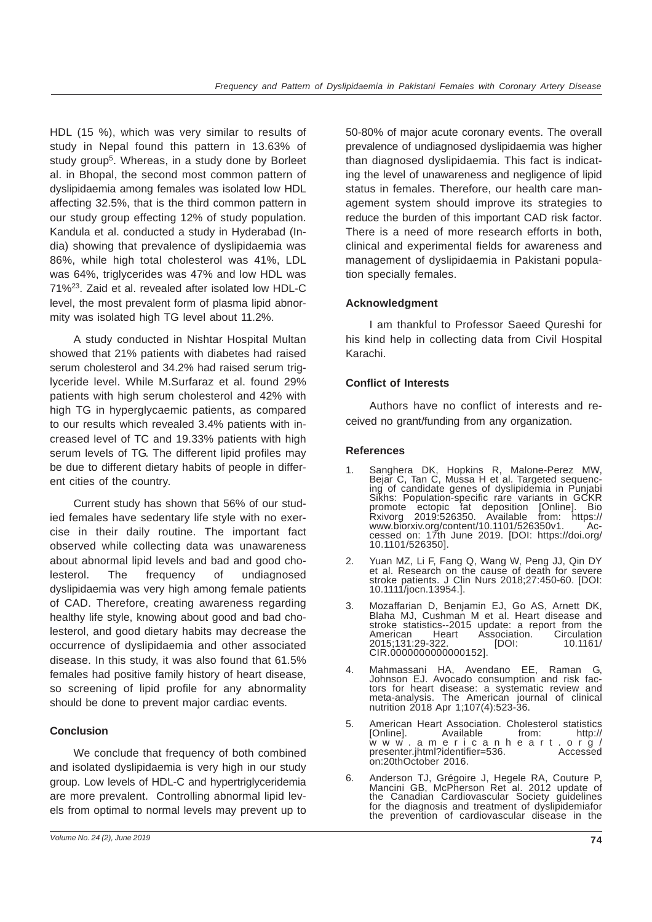HDL (15 %), which was very similar to results of study in Nepal found this pattern in 13.63% of study group<sup>5</sup>. Whereas, in a study done by Borleet al. in Bhopal, the second most common pattern of dyslipidaemia among females was isolated low HDL affecting 32.5%, that is the third common pattern in our study group effecting 12% of study population. Kandula et al. conducted a study in Hyderabad (India) showing that prevalence of dyslipidaemia was 86%, while high total cholesterol was 41%, LDL was 64%, triglycerides was 47% and low HDL was 71%23. Zaid et al. revealed after isolated low HDL-C level, the most prevalent form of plasma lipid abnormity was isolated high TG level about 11.2%.

A study conducted in Nishtar Hospital Multan showed that 21% patients with diabetes had raised serum cholesterol and 34.2% had raised serum triglyceride level. While M.Surfaraz et al. found 29% patients with high serum cholesterol and 42% with high TG in hyperglycaemic patients, as compared to our results which revealed 3.4% patients with increased level of TC and 19.33% patients with high serum levels of TG. The different lipid profiles may be due to different dietary habits of people in different cities of the country.

Current study has shown that 56% of our studied females have sedentary life style with no exercise in their daily routine. The important fact observed while collecting data was unawareness about abnormal lipid levels and bad and good cholesterol. The frequency of undiagnosed dyslipidaemia was very high among female patients of CAD. Therefore, creating awareness regarding healthy life style, knowing about good and bad cholesterol, and good dietary habits may decrease the occurrence of dyslipidaemia and other associated disease. In this study, it was also found that 61.5% females had positive family history of heart disease, so screening of lipid profile for any abnormality should be done to prevent major cardiac events.

## **Conclusion**

We conclude that frequency of both combined and isolated dyslipidaemia is very high in our study group. Low levels of HDL-C and hypertriglyceridemia are more prevalent. Controlling abnormal lipid levels from optimal to normal levels may prevent up to

50-80% of major acute coronary events. The overall prevalence of undiagnosed dyslipidaemia was higher than diagnosed dyslipidaemia. This fact is indicating the level of unawareness and negligence of lipid status in females. Therefore, our health care management system should improve its strategies to reduce the burden of this important CAD risk factor. There is a need of more research efforts in both, clinical and experimental fields for awareness and management of dyslipidaemia in Pakistani population specially females.

## **Acknowledgment**

I am thankful to Professor Saeed Qureshi for his kind help in collecting data from Civil Hospital Karachi.

## **Conflict of Interests**

Authors have no conflict of interests and received no grant/funding from any organization.

#### **References**

- 1. Sanghera DK, Hopkins R, Malone-Perez MW, Bejar C, Tan C, Mussa H et al. Targeted sequencing of candidate genes of dyslipidemia in Punjabi Sikhs: Population-specific rare variants in GCKR promote ectopic fat deposition [Online]. Bio Rxivorg 2019:526350. Available from: https:// www.biorxiv.org/content/10.1101/526350v1. Accessed on: 17th June 2019. [DOI: https://doi.org/ 10.1101/526350].
- 2. Yuan MZ, Li F, Fang Q, Wang W, Peng JJ, Qin DY et al. Research on the cause of death for severe stroke patients. J Clin Nurs 2018;27:450-60. [DOI: 10.1111/jocn.13954.].
- 3. Mozaffarian D, Benjamin EJ, Go AS, Arnett DK, Blaha MJ, Cushman M et al. Heart disease and stroke statistics--2015 update: a report from the American Heart Association. Circulation American Heart Association. Circulation<br>10.1161/10.1161/10.129-322. [DOI: 10.1161 CIR.0000000000000152].
- 4. Mahmassani HA, Avendano EE, Raman G, Johnson EJ. Avocado consumption and risk factors for heart disease: a systematic review and meta-analysis. The American journal of clinical nutrition 2018 Apr 1;107(4):523-36.
- 5. American Heart Association. Cholesterol statistics Available from: http:/<br>ericanheart.org www.americanheart.org/<br>presenter.jhtml?identifier=536. Accessed presenter.jhtml?identifier=536. on:20thOctober 2016.
- 6. Anderson TJ, Grégoire J, Hegele RA, Couture P, Mancini GB, McPherson Ret al. 2012 update of the Canadian Cardiovascular Society guidelines for the diagnosis and treatment of dyslipidemiafor the prevention of cardiovascular disease in the